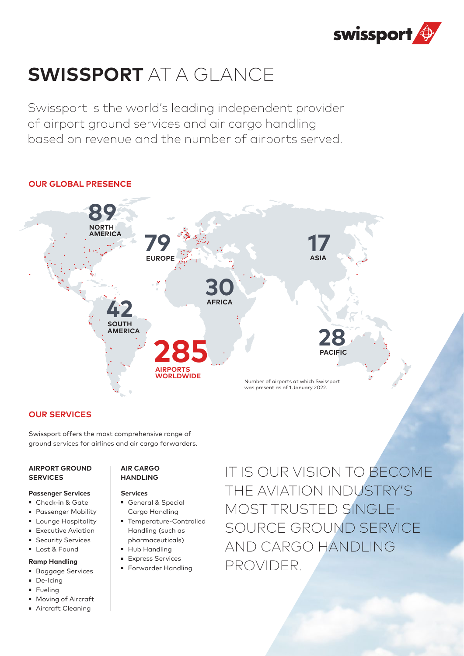

# **SWISSPORT** AT A GLANCE

Swissport is the world's leading independent provider of airport ground services and air cargo handling based on revenue and the number of airports served.

# **OUR GLOBAL PRESENCE**



# **OUR SERVICES**

Swissport offers the most comprehensive range of ground services for airlines and air cargo forwarders.

### **AIRPORT GROUND SERVICES**

### **Passenger Services**

- Check-in & Gate
- Passenger Mobility
- Lounge Hospitality
- Executive Aviation
- Security Services
- Lost & Found

### **Ramp Handling**

- Baggage Services
- **De-Icing**
- Fueling
- **Moving of Aircraft**
- Aircraft Cleaning

### **AIR CARGO HANDLING**

- **Services** 
	- General & Special Cargo Handling
	- Temperature-Controlled Handling (such as pharmaceuticals)
	- **Hub Handling**
	- **Express Services**
	- **Forwarder Handling**

IT IS OUR VISION TO BECOME THE AVIATION INDUSTRY'S MOST TRUSTED SINGLE-SOURCE GROUND SERVICE AND CARGO HANDLING PROVIDER.